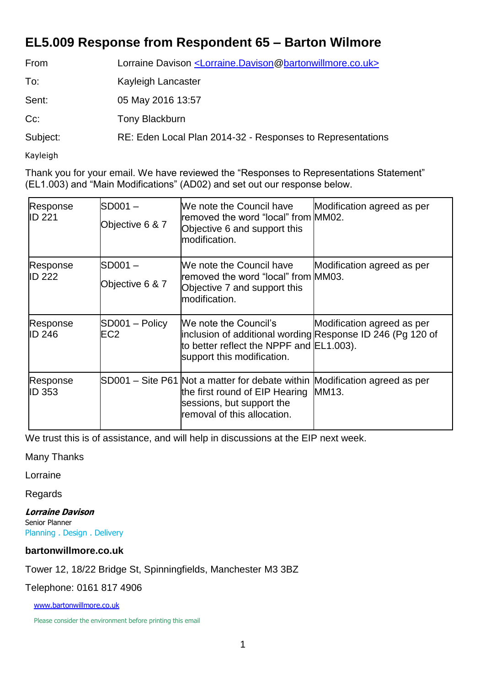## **EL5.009 Response from Respondent 65 – Barton Wilmore**

| From     | Lorraine Davison <lorraine.davison@bartonwillmore.co.uk></lorraine.davison@bartonwillmore.co.uk> |  |
|----------|--------------------------------------------------------------------------------------------------|--|
| To:      | Kayleigh Lancaster                                                                               |  |
| Sent:    | 05 May 2016 13:57                                                                                |  |
| $Cc$ :   | <b>Tony Blackburn</b>                                                                            |  |
| Subject: | RE: Eden Local Plan 2014-32 - Responses to Representations                                       |  |

Kayleigh

Thank you for your email. We have reviewed the "Responses to Representations Statement" (EL1.003) and "Main Modifications" (AD02) and set out our response below.

| Response<br><b>ID 221</b> | $SD001 -$<br>Objective 6 & 7 | We note the Council have<br>removed the word "local" from MM02.<br>Objective 6 and support this<br>modification.                                                         | Modification agreed as per |
|---------------------------|------------------------------|--------------------------------------------------------------------------------------------------------------------------------------------------------------------------|----------------------------|
| Response<br><b>ID 222</b> | $SD001 -$<br>Objective 6 & 7 | We note the Council have<br>removed the word "local" from MM03.<br>Objective 7 and support this<br>modification.                                                         | Modification agreed as per |
| Response<br><b>ID 246</b> | SD001 – Policy<br>EC2        | We note the Council's<br>inclusion of additional wording Response ID 246 (Pg 120 of<br>to better reflect the NPPF and EL1.003).<br>support this modification.            | Modification agreed as per |
| Response<br><b>ID 353</b> |                              | SD001 – Site P61 Not a matter for debate within Modification agreed as per<br>the first round of EIP Hearing<br>sessions, but support the<br>removal of this allocation. | MM13.                      |

We trust this is of assistance, and will help in discussions at the EIP next week.

## Many Thanks

Lorraine

Regards

**Lorraine Davison** Senior Planner

Planning . Design . Delivery

## **bartonwillmore.co.uk**

Tower 12, 18/22 Bridge St, Spinningfields, Manchester M3 3BZ

Telephone: 0161 817 4906

[www.bartonwillmore.co.uk](http://www.bartonwillmore.co.uk/)

Please consider the environment before printing this email